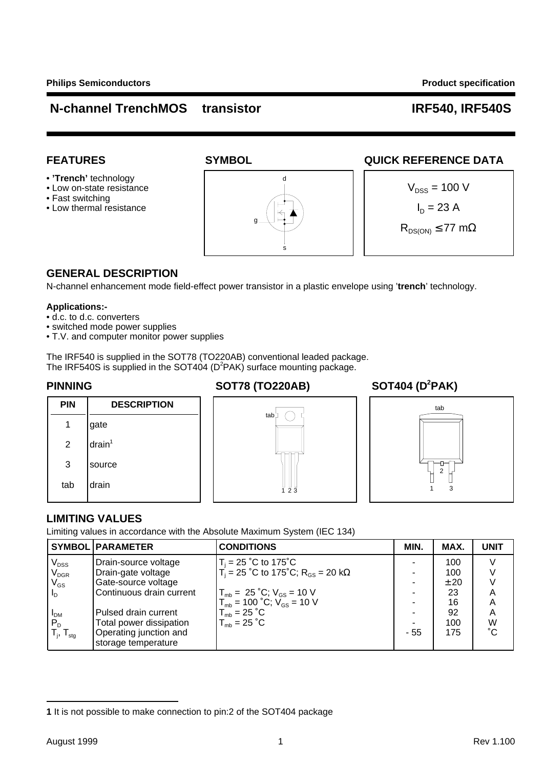- **'Trench'** technology
- 
- Fast switching
- 

# • Low on-state resistance  $V_{\text{DSS}} = 100 \text{ V}$ • Low thermal resistance  $\sqrt{\left|\frac{1}{L}\right|}$   $\sqrt{\left|\frac{1}{L}\right|}$   $\sqrt{\left|\frac{1}{L}\right|}$   $\sqrt{\left|\frac{1}{L}\right|}$   $\sqrt{\left|\frac{1}{L}\right|}$   $\sqrt{\left|\frac{1}{L}\right|}$   $\sqrt{\left|\frac{1}{L}\right|}$   $\sqrt{\left|\frac{1}{L}\right|}$   $\sqrt{\left|\frac{1}{L}\right|}$   $\sqrt{\left|\frac{1}{L}\right|}$   $\sqrt{\left|\frac{1}{L}\right|}$   $\sqrt{\left|\frac{1$ d g s

### FEATURES SYMBOL **SYMBOL** QUICK REFERENCE DATA



### **GENERAL DESCRIPTION**

N-channel enhancement mode field-effect power transistor in a plastic envelope using '**trench**' technology.

#### **Applications:-**

- d.c. to d.c. converters
- switched mode power supplies
- T.V. and computer monitor power supplies

The IRF540 is supplied in the SOT78 (TO220AB) conventional leaded package. The IRF540S is supplied in the SOT404 ( $D^2$ PAK) surface mounting package.

# **PINNING SOT78 (TO220AB)**

### **SOT404 (D<sup>2</sup>PAK)**







#### **LIMITING VALUES**

Limiting values in accordance with the Absolute Maximum System (IEC 134)

|                                      | <b>SYMBOL PARAMETER</b>                       | <b>CONDITIONS</b>                                               | MIN. | MAX. | <b>UNIT</b> |
|--------------------------------------|-----------------------------------------------|-----------------------------------------------------------------|------|------|-------------|
|                                      | Drain-source voltage                          | $T_i = 25$ °C to 175°C                                          |      | 100  |             |
| V <sub>dss</sub><br>V <sub>dgr</sub> | Drain-gate voltage                            | $T_i = 25$ °C to 175°C; R <sub>GS</sub> = 20 kΩ                 |      | 100  |             |
| $\mathsf{V}_{\mathsf{GS}}$           | Gate-source voltage                           |                                                                 |      | ±20  |             |
| $I_{\rm D}$                          | Continuous drain current                      | $T_{\text{mb}} = 25 \degree C$ ; $V_{\text{GS}} = 10 \text{ V}$ |      | 23   |             |
|                                      |                                               | $T_{\text{mb}} = 100 \text{ °C}; V_{\text{GS}} = 10 \text{ V}$  |      | 16   | А           |
| $I_{DM}$                             | Pulsed drain current                          | $T_{\text{mb}} = 25 \degree C$                                  |      | 92   | А           |
| $P_D$                                | Total power dissipation                       | $T_{\text{mb}} = 25 \degree C$                                  |      | 100  | W           |
| $T_i$ , $T_{\text{stg}}$             | Operating junction and<br>storage temperature |                                                                 | - 55 | 175  | °С          |

**<sup>1</sup>** It is not possible to make connection to pin:2 of the SOT404 package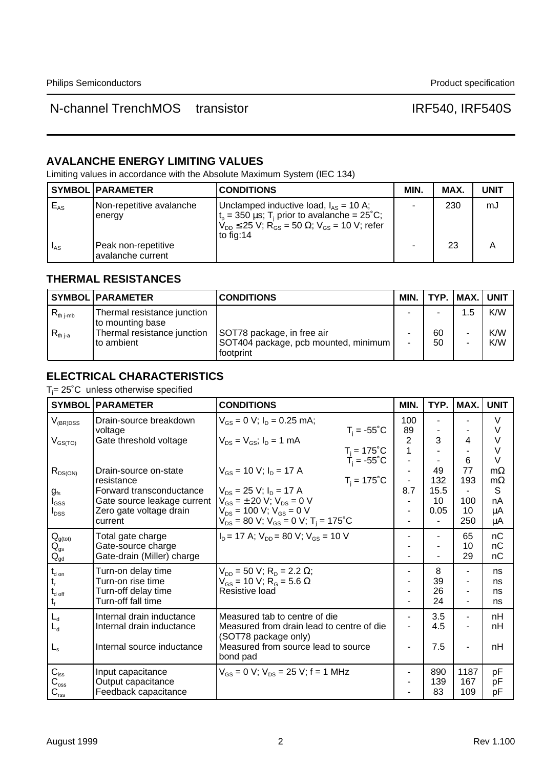#### **AVALANCHE ENERGY LIMITING VALUES**

Limiting values in accordance with the Absolute Maximum System (IEC 134)

|          | <b>SYMBOL PARAMETER</b>                  | <b>CONDITIONS</b>                                                                                                                                                                                                       | MIN. | MAX. | <b>UNIT</b> |
|----------|------------------------------------------|-------------------------------------------------------------------------------------------------------------------------------------------------------------------------------------------------------------------------|------|------|-------------|
| $E_{AS}$ | Non-repetitive avalanche<br>I energy     | Unclamped inductive load, $I_{AS}$ = 10 A;<br>$t_{p}$ = 350 $\mu$ s; T <sub>i</sub> prior to avalanche = 25°C;<br>$V_{\text{DD}} \leq 25$ V; R <sub>GS</sub> = 50 $\Omega$ ; V <sub>GS</sub> = 10 V; refer<br>to fig:14 | ۰    | 230  | mJ          |
| $I_{AS}$ | Peak non-repetitive<br>avalanche current |                                                                                                                                                                                                                         |      | 23   |             |

### **THERMAL RESISTANCES**

|                      | <b>SYMBOL PARAMETER</b>                         | <b>CONDITIONS</b>                                                                 | MIN. I |          | ' TYP.   MAX.   UNIT |            |
|----------------------|-------------------------------------------------|-----------------------------------------------------------------------------------|--------|----------|----------------------|------------|
| $R_{\text{th j-mb}}$ | Thermal resistance junction<br>to mounting base |                                                                                   |        |          | 1.5                  | K/W        |
| $R_{th\,1-a}$        | Thermal resistance junction<br>l to ambient     | SOT78 package, in free air<br>SOT404 package, pcb mounted, minimum  <br>footprint | -      | 60<br>50 |                      | K/W<br>K/W |

### **ELECTRICAL CHARACTERISTICS**

 $T_j$ = 25°C unless otherwise specified

| <b>SYMBOL</b>                          | <b>PARAMETER</b>            | <b>CONDITIONS</b>                                                    | MIN.                           | TYP. | MAX.           | <b>UNIT</b>      |
|----------------------------------------|-----------------------------|----------------------------------------------------------------------|--------------------------------|------|----------------|------------------|
| $V_{(BR)DSS}$                          | Drain-source breakdown      | $V_{\text{GS}} = 0$ V; $I_{\text{D}} = 0.25$ mA;                     | 100                            |      |                | $\vee$           |
|                                        | voltage                     | $T_i = -55^{\circ}C$                                                 | 89                             |      |                | $\vee$           |
| $V_{GS(TO)}$                           | Gate threshold voltage      | $V_{DS} = V_{GS}$ ; $I_D = 1$ mA                                     | $\overline{2}$<br>$\mathbf{1}$ | 3    | 4              | $\vee$<br>$\vee$ |
|                                        |                             | $T_j = 175^{\circ}$ C<br>$T_i = -55^{\circ}$ C                       |                                |      | 6              | $\vee$           |
|                                        | Drain-source on-state       | $V_{GS}$ = 10 V; $I_D$ = 17 A                                        |                                | 49   | 77             | $m\Omega$        |
| $R_{DS(ON)}$                           | resistance                  | $T_i = 175^{\circ}C$                                                 |                                | 132  | 193            | $m\Omega$        |
| $g_{\rm fs}$                           | Forward transconductance    | $V_{DS}$ = 25 V; $I_D$ = 17 A                                        | 8.7                            | 15.5 |                | S                |
| $I_{\rm GSS}$                          | Gate source leakage current | $V_{GS} = \pm 20$ V; $V_{DS} = 0$ V                                  |                                | 10   | 100            | nA               |
| $I_{DSS}$                              | Zero gate voltage drain     | $V_{DS}$ = 100 V; $V_{GS}$ = 0 V                                     |                                | 0.05 | 10             | μA               |
|                                        | current                     | $V_{DS}$ = 80 V; $V_{GS}$ = 0 V; T <sub>i</sub> = 175 <sup>°</sup> C |                                | ÷    | 250            | μA               |
| $Q_{g(tot)}$                           | Total gate charge           | $ID$ = 17 A; $VDD$ = 80 V; $VGS$ = 10 V                              |                                | ٠    | 65             | nC               |
| $\mathsf{Q}_\mathsf{gs}$               | Gate-source charge          |                                                                      |                                |      | 10             | nC               |
| $\mathsf{Q}_{\mathsf{gd}}$             | Gate-drain (Miller) charge  |                                                                      |                                |      | 29             | nC               |
| $t_{\text{d on}}$                      | Turn-on delay time          | $V_{DD}$ = 50 V; R <sub>D</sub> = 2.2 $\Omega$ ;                     |                                | 8    |                | ns               |
|                                        | Turn-on rise time           | $V_{GS}$ = 10 V; R <sub>G</sub> = 5.6 $\Omega$                       |                                | 39   |                | ns               |
| $\mathsf{t}_{\mathsf{d} \text{ off}}$  | Turn-off delay time         | Resistive load                                                       |                                | 26   |                | ns               |
|                                        | Turn-off fall time          |                                                                      |                                | 24   | ۰              | ns               |
| $L_d$                                  | Internal drain inductance   | Measured tab to centre of die                                        |                                | 3.5  | $\blacksquare$ | nH               |
| L <sub>d</sub>                         | Internal drain inductance   | Measured from drain lead to centre of die                            |                                | 4.5  |                | nH               |
|                                        |                             | (SOT78 package only)                                                 |                                |      |                |                  |
| $L_{\rm s}$                            | Internal source inductance  | Measured from source lead to source                                  |                                | 7.5  |                | nH               |
|                                        |                             | bond pad                                                             |                                |      |                |                  |
| $C_{\text{iss}}$                       | Input capacitance           | $V_{GS} = 0$ V; $V_{DS} = 25$ V; f = 1 MHz                           |                                | 890  | 1187           | pF               |
| $\mathtt{C}_{\textnormal{\tiny{oss}}}$ | Output capacitance          |                                                                      |                                | 139  | 167            | рF               |
| $C_{\text{rss}}$                       | Feedback capacitance        |                                                                      |                                | 83   | 109            | рF               |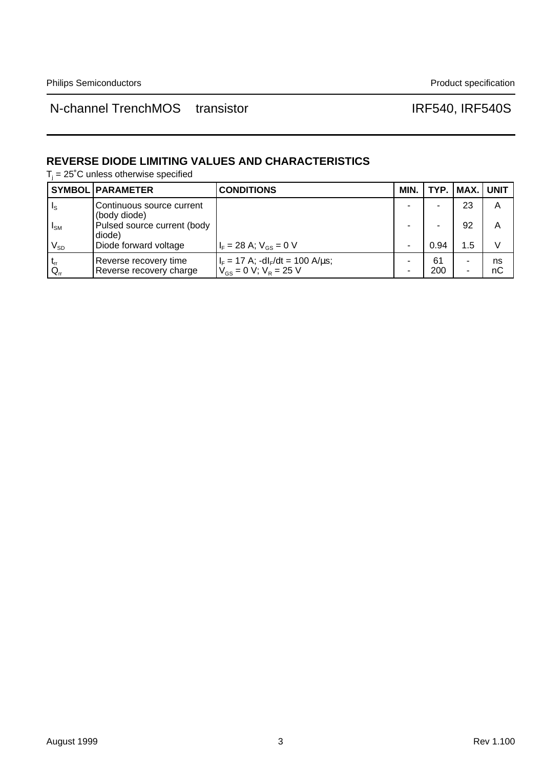#### **REVERSE DIODE LIMITING VALUES AND CHARACTERISTICS**

 $T_j$  = 25°C unless otherwise specified

|                            | <b>SYMBOL   PARAMETER</b>                        | <b>CONDITIONS</b>                                                                     | MIN. |           | TYP.   MAX.   UNIT |          |
|----------------------------|--------------------------------------------------|---------------------------------------------------------------------------------------|------|-----------|--------------------|----------|
| $I_{\rm S}$                | Continuous source current<br>(body diode)        |                                                                                       |      |           | 23                 | Α        |
| $I_{SM}$                   | Pulsed source current (body<br>diode)            |                                                                                       |      |           | 92                 | А        |
| $\mathsf{V}_{\mathsf{SD}}$ | Diode forward voltage                            | $I_F = 28$ A; $V_{GS} = 0$ V                                                          |      | 0.94      | 1.5                | V        |
| $^{\circ}$ Q <sub>rr</sub> | Reverse recovery time<br>Reverse recovery charge | $I_F = 17$ A; -dl <sub>F</sub> /dt = 100 A/ $\mu$ s;<br>$V_{GS} = 0 V$ ; $V_R = 25 V$ |      | 61<br>200 |                    | ns<br>nC |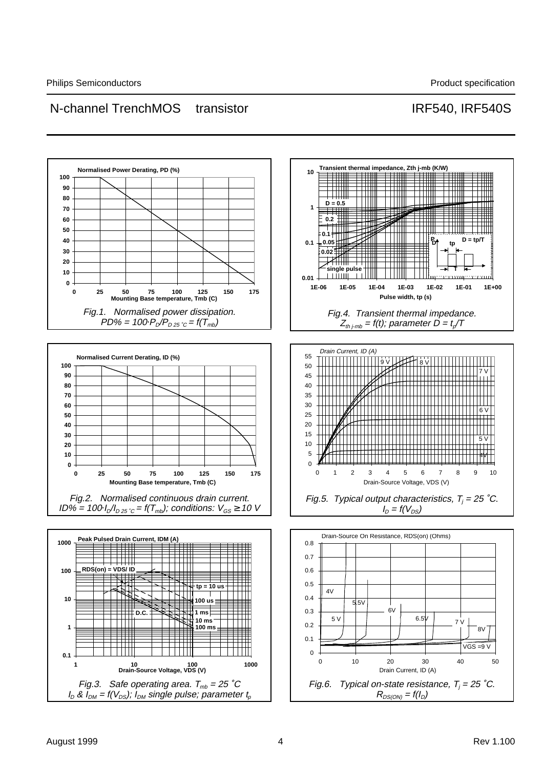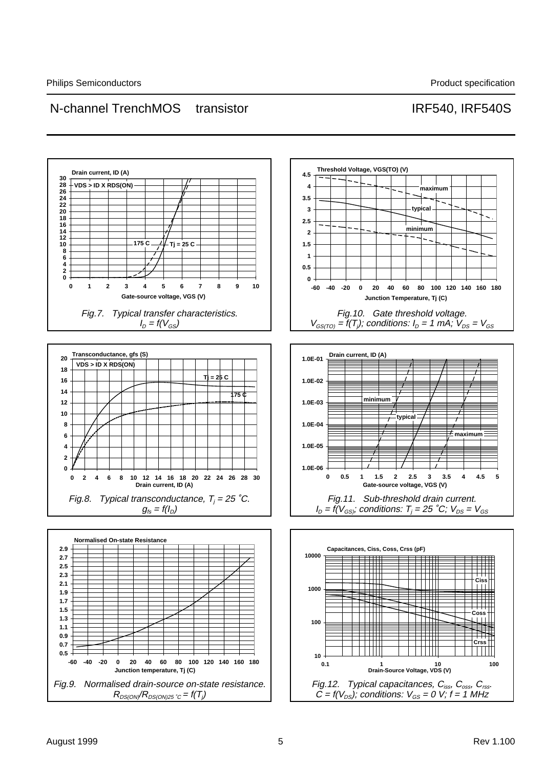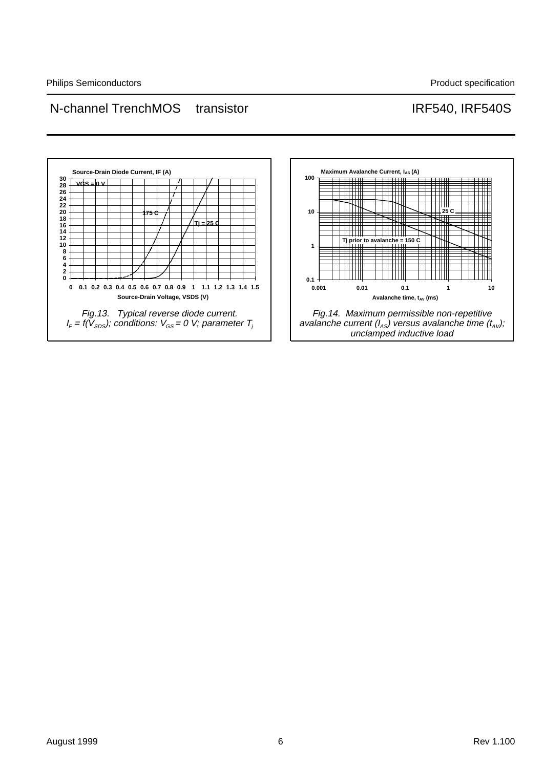

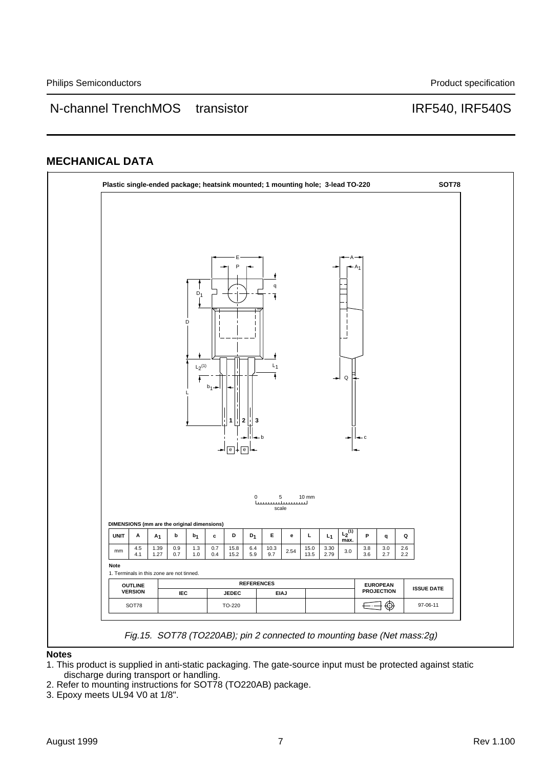#### **MECHANICAL DATA**



**Notes**

- 1. This product is supplied in anti-static packaging. The gate-source input must be protected against static discharge during transport or handling.
- 2. Refer to mounting instructions for SOT78 (TO220AB) package.
- 3. Epoxy meets UL94 V0 at 1/8".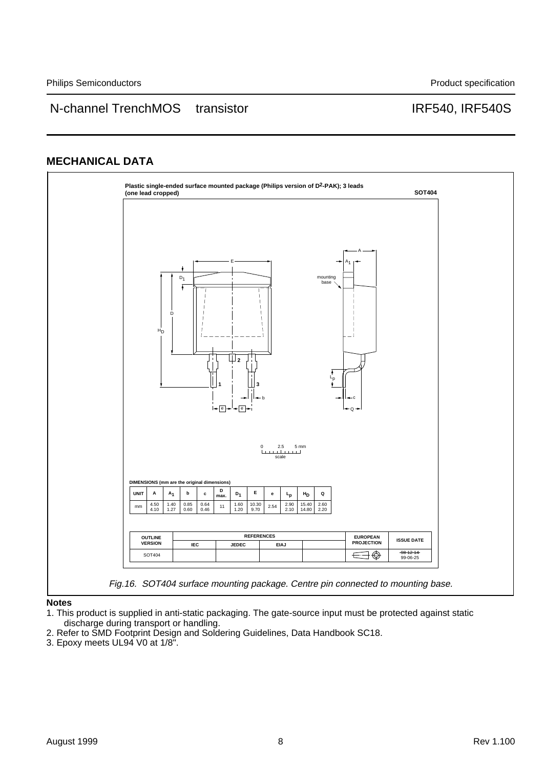#### **MECHANICAL DATA**



**Notes**

1. This product is supplied in anti-static packaging. The gate-source input must be protected against static discharge during transport or handling.

- 2. Refer to SMD Footprint Design and Soldering Guidelines, Data Handbook SC18.
- 3. Epoxy meets UL94 V0 at 1/8".